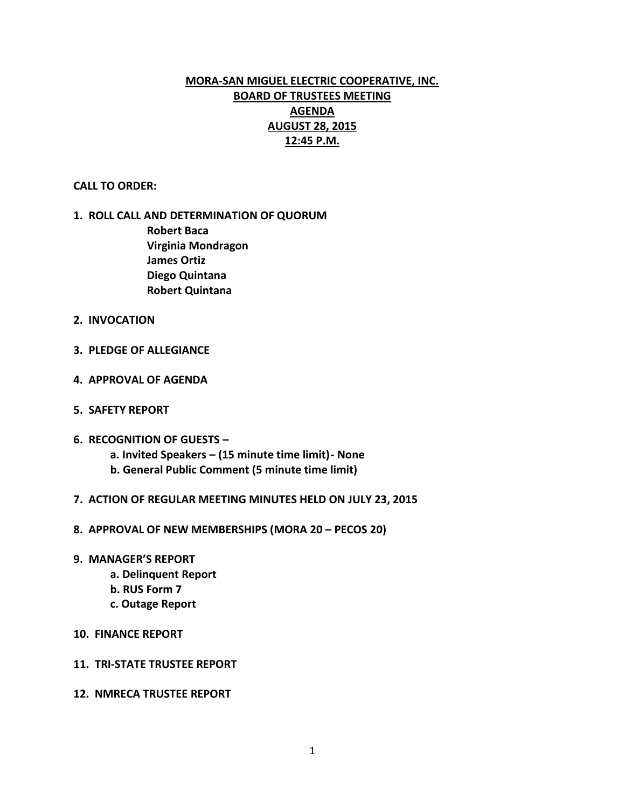# **MORA-SAN MIGUEL ELECTRIC COOPERATIVE, INC. BOARD OF TRUSTEES MEETING AGENDA AUGUST 28, 2015 12:45 P.M.**

#### **CALL TO ORDER:**

### **1. ROLL CALL AND DETERMINATION OF QUORUM Robert Baca**

**Virginia Mondragon James Ortiz Diego Quintana Robert Quintana**

- **2. INVOCATION**
- **3. PLEDGE OF ALLEGIANCE**
- **4. APPROVAL OF AGENDA**
- **5. SAFETY REPORT**
- **6. RECOGNITION OF GUESTS –**
	- **a. Invited Speakers – (15 minute time limit)- None**
	- **b. General Public Comment (5 minute time limit)**
- **7. ACTION OF REGULAR MEETING MINUTES HELD ON JULY 23, 2015**
- **8. APPROVAL OF NEW MEMBERSHIPS (MORA 20 – PECOS 20)**
- **9. MANAGER'S REPORT**
	- **a. Delinquent Report**
	- **b. RUS Form 7**
	- **c. Outage Report**
- **10. FINANCE REPORT**
- **11. TRI-STATE TRUSTEE REPORT**
- **12. NMRECA TRUSTEE REPORT**